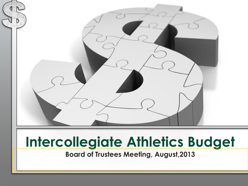

# **Intercollegiate Athletics Budget**

**Board of Trustees Meeting, August,2013**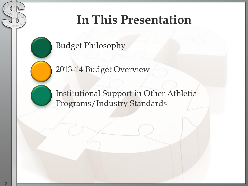## **In This Presentation**

Budget Philosophy

2013-14 Budget Overview

Institutional Support in Other Athletic Programs/Industry Standards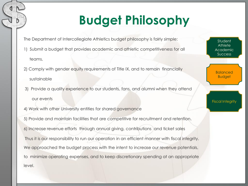# **Budget Philosophy**

- The Department of Intercollegiate Athletics budget philosophy is fairly simple:
- 1) Submit a budget that provides academic and athletic competitiveness for all
- teams,
- 2) Comply with gender equity requirements of Title IX, and to remain financially
- sustainable
- 3) Provide a quality experience to our students, fans, and alumni when they attend our events
- 4) Work with other University entities for shared governance
- 5) Provide and maintain facilities that are competitive for recruitment and retention. • 6) Increase revenue efforts through annual giving, contributions and ticket sales
- Thus it is our responsibility to run our operation in an efficient manner with fiscal integrity. We approached the budget process with the intent to increase our revenue potentials, to minimize operating expenses, and to keep discretionary spending at an appropriate level.

**Student Athlete** Academic Success

Balanced Budget

Fiscal Integrity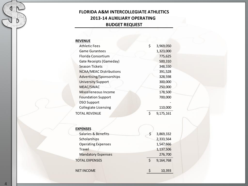#### **FLORIDA A&M INTERCOLLEGIATE ATHLETICS 2013-14 AUXILIARY OPERATING BUDGET REQUEST**

#### **REVENUE**

| Athletic Fees                  | 3,969,050 |
|--------------------------------|-----------|
| <b>Game Gurantees</b>          | 1,323,000 |
| Florida Consortium             | 775,625   |
| Gate Receipts (Gameday)        | 500,310   |
| Season Tickets                 | 348,550   |
| <b>NCAA/MEAC Distributions</b> | 391,528   |
| Advertising/Sponsorships       | 328,598   |
| <b>University Support</b>      | 300,000   |
| MEAC/SWAC                      | 250,000   |
| Miscelleneous Income           | 178,500   |
| <b>Foundation Support</b>      | 700,000   |
| <b>DSO Support</b>             |           |
| <b>Collegiate Licensing</b>    | 110,000   |
| TOTAL REVENUE                  | 9,175,161 |

| <b>EXPENSES</b>           |             |           |
|---------------------------|-------------|-----------|
| Salaries & Benefits       | \$          | 3,869,332 |
| Scholarships              |             | 2,333,564 |
| <b>Operating Expenses</b> |             | 1,547,666 |
| Travel                    |             | 1,137,506 |
| <b>Mandatory Expenses</b> |             | 276,700   |
| <b>TOTAL EXPENSES</b>     | $\varsigma$ | 9,164,768 |
| <b>NET INCOME</b>         |             | 10,393    |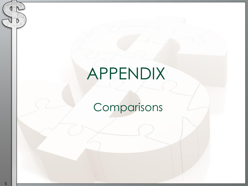# APPENDIX

## Comparisons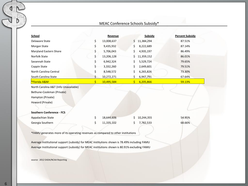#### MEAC Conference Schools Subsidy\*

| <b>School</b>           |    | Revenue    | Subsidy          | <b>Percent Subsidy</b> |
|-------------------------|----|------------|------------------|------------------------|
| Delaware State          | \$ | 13,008,637 | \$<br>11,384,294 | 87.51%                 |
| Morgan State            | \$ | 9,435,932  | \$<br>8,222,689  | 87.14%                 |
| Maryland Eastern Shore  | \$ | 5,706,043  | \$<br>4,935,197  | 86.49%                 |
| Norfolk State           | \$ | 13,206,128 | 11,359,152<br>\$ | 86.01%                 |
| Savannah State          | Ś. | 6,942,324  | \$<br>5,529,724  | 79.65%                 |
| Coppin State            | \$ | 3,332,260  | \$<br>2,649,601  | 79.51%                 |
| North Carolina Central  | Ś. | 8,548,572  | \$<br>6,265,826  | 73.30%                 |
| South Carolina State    | Ś. | 10,272,271 | \$<br>6,947,791  | 67.64%                 |
| <b>*Florida A&amp;M</b> |    | 10,495,584 | Ś<br>6,205,866   | 59.13%                 |

North Carolina A&T (Info Unavailable)

Bethune-Cookman (Private)

Hampton (Private)

Howard (Private)

#### **Southern Conference - FCS**

| Appalachian State | 18.644.606 | \$10,244,355 | 54.95% |
|-------------------|------------|--------------|--------|
| Georgia Southern  | 11,335,102 | \$7.782.533  | 68.66% |

\*FAMU generates more of its operating revenues as compared to other institutions

Average Institutional support (subsidy) for MEAC institutions shown is 78.49% including FAMU Average Institutional support (subsidy) for MEAC institutions shown is 80.91% excluding FAMU

source: 2012 EADA/NCAA Reporting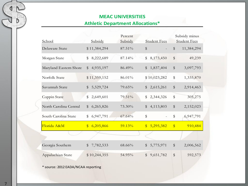### **MEAC UNIVERSITIES**

#### **Athletic Department Allocations\***

| School                 | Subsidy                    | Percent<br>Subsidy | <b>Student Fees</b>        | Subsidy minus<br><b>Student Fees</b> |
|------------------------|----------------------------|--------------------|----------------------------|--------------------------------------|
| Delaware State         | \$11,384,294               | 87.51%             | \$                         | $\frac{1}{2}$<br>11,384,294          |
| Morgan State           | $\mathbb S$<br>8,222,689   | 87.14%             | \$<br>8,173,450            | \$<br>49,239                         |
| Maryland Eastern Shore | 4,935,197<br>$\mathbb{S}$  | 86.49%             | $\mathbb{S}$<br>1,837,404  | $\frac{4}{3}$<br>3,097,793           |
| Norfolk State          | \$11,359,152               | 86.01%             | \$10,023,282               | \$<br>1,335,870                      |
| Savannah State         | $\$\$<br>5,529,724         | 79.65%             | $\$\$<br>2,615,261         | $\$\,$<br>2,914,463                  |
| Coppin State           | 2,649,601<br>\$            | 79.51%             | \$<br>2,344,326            | $\,$<br>305,275                      |
| North Carolina Central | 6,265,826<br>$\mathbb{S}$  | 73.30%             | $\$\$<br>4,113,803         | \$<br>2,152,023                      |
| South Carolina State   | 6,947,791<br>$\mathbb{S}$  | 67.64%             | \$                         | \$<br>6,947,791                      |
| Florida A&M            | 6,205,866<br>$\mathbf{\$}$ | 59.13%             | 5,295,382<br>$\frac{1}{2}$ | $\frac{1}{2}$<br>910,484             |
|                        |                            |                    |                            |                                      |
| Georgia Southern       | \$<br>7,782,533            | 68.66%             | 5,775,971<br>\$            | \$<br>2,006,562                      |
| Appalachian State      | \$10,244,355               | 54.95%             | $\$\$<br>9,651,782         | $\frac{4}{3}$<br>592,573             |

\* source: 2012 EADA/NCAA reporting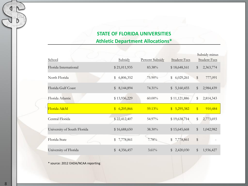### **STATE OF FLORIDA UNIVERSITIES**

**Athletic Department Allocations\***

| <b>School</b>               | Subsidy                    | <b>Percent Subsidy</b> | <b>Student Fees</b>       |                         | Subsidy minus<br><b>Student Fees</b> |
|-----------------------------|----------------------------|------------------------|---------------------------|-------------------------|--------------------------------------|
| Florida International       | \$21,011,935               | 83.38%                 | \$18,648,161              | $\$\$                   | 2,363,774                            |
| North Florida               | \$<br>6,806,352            | 75.90%                 | \$6,029,261               | $\$\$                   | 777,091                              |
| Florida Gulf Coast          | 8,144,894<br>$\mathbb{S}$  | 74.31%                 | 5,160,455<br>$\mathbb{S}$ | $\$\$                   | 2,984,439                            |
| Florida Atlantic            | \$13,936,229               | $60.00\%$              | \$11,121,886              | $\mathbb S$             | 2,814,343                            |
| Florida A&M                 | 6,205,866<br>$\mathbf{\$}$ | 59.13%                 | \$5,295,382               | $\sqrt[6]{\frac{1}{2}}$ | 910,484                              |
| Central Florida             | \$22,412,407               | 54.97%                 | \$19,638,714              | \$                      | 2,773,693                            |
| University of South Florida | \$16,688,650               | 38.30%                 | \$15,645,668              | $\$\$                   | 1,042,982                            |
| Florida State               | 7,778,861<br>\$            | 7.78%                  | \$<br>7,778,861           | $\$\$                   |                                      |
| University of Florida       | \$<br>4,356,457            | $3.61\%$               | 2,420,030<br>$\mathbb{S}$ | $\$\$                   | 1,936,427                            |

\* source: 2012 EADA/NCAA reporting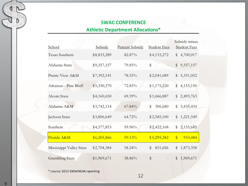## **SWAC CONFERENCE**

### **Athletic Department Allocations\***

|                          |             |                        |                     | Subsidy minus              |
|--------------------------|-------------|------------------------|---------------------|----------------------------|
| School                   | Subsidy     | <b>Percent Subsidy</b> | <b>Student Fees</b> | <b>Student Fees</b>        |
| Texas Southern           | \$8,833,289 | 82.87%                 | \$4,133,272         | 4,700,017<br>\$            |
| Alabama State            | \$9,357,157 | 79.85%                 | \$                  | $\mathbb S$<br>9,357,157   |
| Prairie View A&M         | \$7,392,141 | 78.55%                 | \$2,041,089         | $\frac{1}{2}$<br>5,351,052 |
| Arkansas - Pine Bluff    | \$5,330,370 | 72.83%                 | \$1,175,220         | \$<br>4,155,150            |
| Alcorn State             | \$4,160,650 | 69.39%                 | \$1,666,887         | $\mathbb{S}$<br>2,493,763  |
| Alabama A&M              | \$3,742,114 | 67.84%                 | 306,680<br>\$       | $\mathbb S$<br>3,435,434   |
| Jackson State            | \$3,806,649 | 64.72%                 | \$2,585,100         | 1,221,549<br>$\$\$         |
| Southern                 | \$4,577,853 | 59.96%                 | \$2,422,168         | 2,155,685<br>\$            |
| Florida A&M              | \$6,205,866 | 59.13%                 | \$5,295,382         | $\frac{1}{2}$<br>910,484   |
| Mississippi Valley State | \$2,704,384 | 58.24%                 | \$<br>831,026       | 1,873,358<br>\$            |
| <b>Grambling State</b>   | \$1,969,671 | 38.86%                 | \$                  | \$<br>1,969,671            |

\* source: 2012 EADA/NCAA reporting

**9**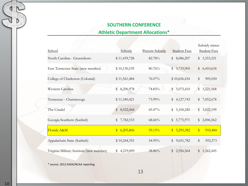#### **SOUTHERN CONFERENCE**

### **Athletic Department Allocations\***

|                                          |                                      |                        |                           | Subsidy minus                             |
|------------------------------------------|--------------------------------------|------------------------|---------------------------|-------------------------------------------|
| School                                   | Subsidy                              | <b>Percent Subsidy</b> | <b>Student Fees</b>       | <b>Student Fees</b>                       |
| North Carolina - Greensboro              | \$11,439,728                         | 82.78%                 | 8,086,207<br>\$           | \$3,353,521                               |
| East Tennessee State (new member)        | \$10,130,539                         | 80.76%                 | \$3,719,905               | \$6,410,634                               |
| College of Charleston (Colonial)         | \$11,561,484                         | 76.07%                 | \$10,656,434              | \$<br>905,050                             |
| Western Carolina                         | 8,296,978<br>\$                      | 74.83%                 | 5,075,410<br>$\mathbb{S}$ | \$<br>3,221,568                           |
| Tennessee - Chattanooga                  | \$11,180,421                         | 73.99%                 | \$4,127,743               | 7,052,678<br>\$                           |
| The Citadel                              | 8,922,444<br>\$                      | 69.47%                 | 5,100,245<br>\$           | \$3,822,199                               |
| Georgia Southern (Sunbelt)               | \$<br>7,782,533                      | 68.66%                 | \$5,775,971               | \$<br>2,006,562                           |
| Florida A&M                              | 6,205,866<br>$\sqrt[6]{\frac{1}{2}}$ | 59.13%                 | 5,295,382<br>$\mathbb{S}$ | $\textcircled{\scriptsize{*}}$<br>910,484 |
| Appalachain State (Sunbelt)              | \$10,244,355                         | 54.95%                 | 9,651,782<br>\$           | \$<br>592,573                             |
| Virginia Military Institute (new member) | 4,219,009<br>\$                      | 38.86%                 | \$<br>2,956,564           | \$<br>1,262,445                           |

\* source: 2012 EADA/NCAA reporting

13